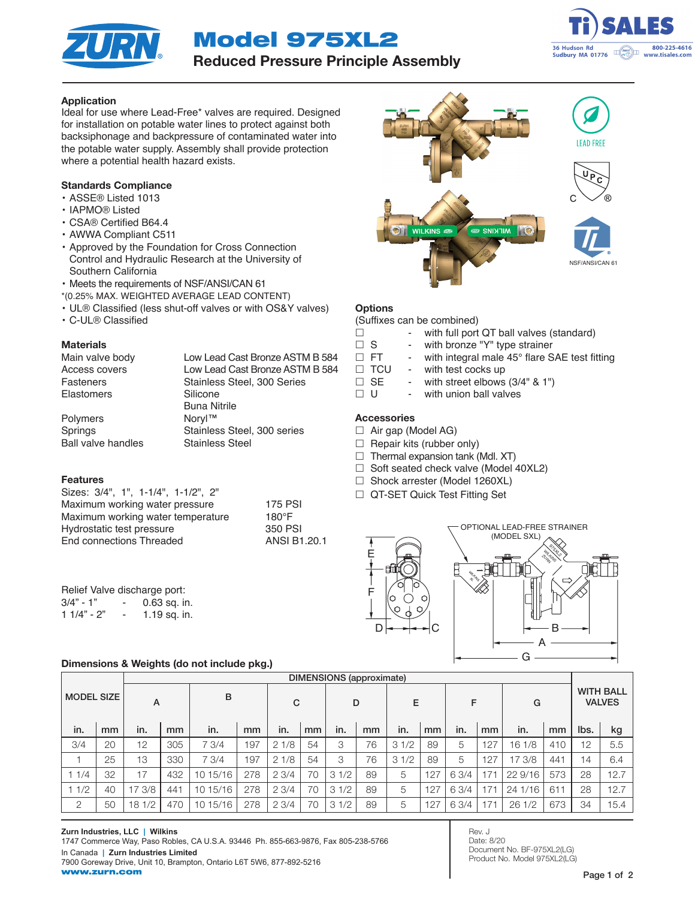Model 975XL2





# Reduced Pressure Principle Assembly

#### Application

Ideal for use where Lead-Free\* valves are required. Designed for installation on potable water lines to protect against both backsiphonage and backpressure of contaminated water into the potable water supply. Assembly shall provide protection where a potential health hazard exists.

#### Standards Compliance

- ASSE® Listed 1013
- IAPMO® Listed
- CSA® Certified B64.4
- AWWA Compliant C511
- Approved by the Foundation for Cross Connection Control and Hydraulic Research at the University of Southern California
- Meets the requirements of NSF/ANSI/CAN 61
- \*(0.25% MAX. WEIGHTED AVERAGE LEAD CONTENT)
- UL® Classified (less shut-off valves or with OS&Y valves)
- C-UL® Classified

#### **Materials**

| <u>Maleriais</u>          |                                 |
|---------------------------|---------------------------------|
| Main valve body           | Low Lead Cast Bronze ASTM B 584 |
| Access covers             | Low Lead Cast Bronze ASTM B 584 |
| Fasteners                 | Stainless Steel, 300 Series     |
| Elastomers                | Silicone                        |
|                           | <b>Buna Nitrile</b>             |
| Polymers                  | Noryl™                          |
| Springs                   | Stainless Steel, 300 series     |
| <b>Ball valve handles</b> | <b>Stainless Steel</b>          |
|                           |                                 |

Features

| <b>175 PSI</b> |
|----------------|
| $180^\circ F$  |
| 350 PSI        |
| ANSI B1.20.1   |
|                |

| Relief Valve discharge port: |   |                |
|------------------------------|---|----------------|
| $3/4" - 1"$                  | ٠ | $0.63$ sq. in. |
| $11/4" - 2"$                 | ۰ | 1.19 sq. in.   |

## Dimensions & Weights (do not include pkg.)



## **Options**

(Suffixes can be combined)

- $\Box$  with full port QT ball valves (standard)
- $\square$  S with bronze "Y" type strainer
- $\Box$  FT with integral male 45 $^{\circ}$  flare SAE test fitting
- $\Box$  TCU with test cocks up
- $\square$  SE with street elbows (3/4" & 1")<br> $\square$  U with union ball valves
	- with union ball valves

### Accessories

- $\Box$  Air gap (Model AG)
- $\Box$  Repair kits (rubber only)
- $\Box$  Thermal expansion tank (Mdl. XT)
- $\Box$  Soft seated check valve (Model 40XL2)
- □ Shock arrester (Model 1260XL)
- □ QT-SET Quick Test Fitting Set



|                   |    | DIMENSIONS (approximate) |     |          |     |      |    |      |    |      |     |       |     |         |     |      |                                   |
|-------------------|----|--------------------------|-----|----------|-----|------|----|------|----|------|-----|-------|-----|---------|-----|------|-----------------------------------|
| <b>MODEL SIZE</b> |    | А                        |     | B        |     | C    |    |      | D  | Е    |     | F     |     | G       |     |      | <b>WITH BALL</b><br><b>VALVES</b> |
| in.               | mm | in.                      | mm  | in.      | mm  | in.  | mm | in.  | mm | in.  | mm  | in.   | mm  | in.     | mm  | lbs. | kg                                |
| 3/4               | 20 | 12                       | 305 | 73/4     | 197 | 21/8 | 54 | 3    | 76 | 31/2 | 89  | 5     | 127 | 16 1/8  | 410 | 12   | 5.5                               |
|                   | 25 | 13                       | 330 | 7 3/4    | 197 | 21/8 | 54 | 3    | 76 | 31/2 | 89  | 5     | 127 | 17 3/8  | 441 | 14   | 6.4                               |
| 11/4              | 32 | 17                       | 432 | 10 15/16 | 278 | 23/4 | 70 | 31/2 | 89 | 5    | 127 | 6 3/4 | 171 | 22 9/16 | 573 | 28   | 12.7                              |
| 11/2              | 40 | 17 3/8                   | 441 | 10 15/16 | 278 | 23/4 | 70 | 31/2 | 89 | 5    | 127 | 6 3/4 | 171 | 24 1/16 | 611 | 28   | 12.7                              |
| $\overline{2}$    | 50 | 18 1/2                   | 470 | 10 15/16 | 278 | 23/4 | 70 | 31/2 | 89 | 5    | 127 | 6 3/4 | 171 | 261/2   | 673 | 34   | 15.4                              |

Rev. J Date: 8/20 Document No. BF-975XL2(LG) Product No. Model 975XL2(LG)